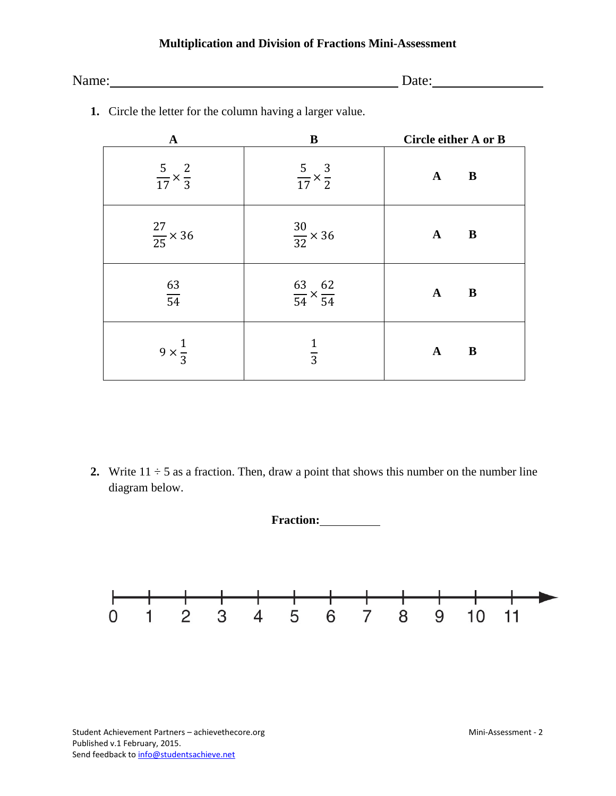# **Multiplication and Division of Fractions Mini-Assessment**

| Name: | ate<br>aic. |  |
|-------|-------------|--|
|       |             |  |

| $\mathbf A$                     | B                                    | <b>Circle either A or B</b> |
|---------------------------------|--------------------------------------|-----------------------------|
| $rac{5}{17} \times \frac{2}{3}$ | $rac{5}{17} \times \frac{3}{2}$      | $\mathbf B$<br>${\bf A}$    |
| $\frac{27}{25} \times 36$       | $\frac{30}{32} \times 36$            | $\mathbf{B}$<br>${\bf A}$   |
| $\frac{63}{54}$                 | $\frac{63}{54} \times \frac{62}{54}$ | ${\bf A}$<br>$\mathbf B$    |
| $9 \times \frac{1}{3}$          | $rac{1}{3}$                          | $\mathbf{A}$<br>$\bf{B}$    |

**1.** Circle the letter for the column having a larger value.

**2.** Write  $11 \div 5$  as a fraction. Then, draw a point that shows this number on the number line diagram below.

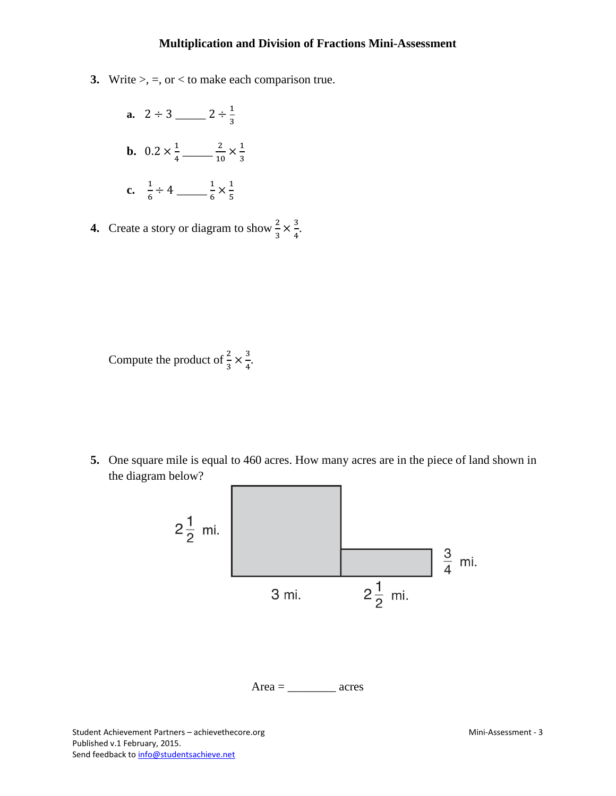#### **Multiplication and Division of Fractions Mini-Assessment**

- **3.** Write  $>$ ,  $=$ , or  $<$  to make each comparison true.
	- **a.**  $2 \div 3$  \_\_\_\_\_\_  $2 \div \frac{1}{3}$ 3 **b.**  $0.2 \times \frac{1}{4}$   $\frac{2}{10} \times \frac{1}{3}$ 3 **c.**  $\frac{1}{6}$ 6 ÷ 4 \_\_\_\_\_ <sup>1</sup> 6 × 1 5
- **4.** Create a story or diagram to show  $\frac{2}{3} \times \frac{3}{4}$  $\frac{3}{4}$ .

Compute the product of  $\frac{2}{3} \times \frac{3}{4}$  $\frac{3}{4}$ .

**5.** One square mile is equal to 460 acres. How many acres are in the piece of land shown in the diagram below?

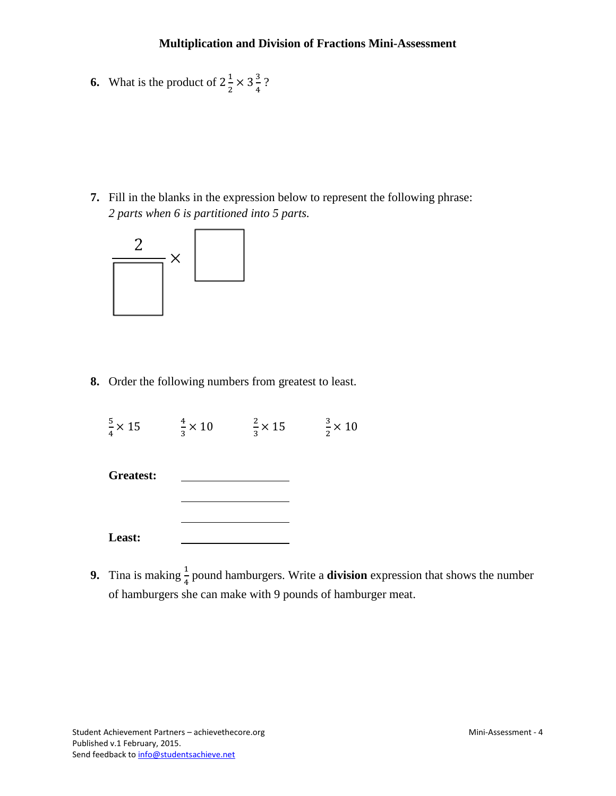**6.** What is the product of  $2\frac{1}{2} \times 3\frac{3}{4}$ ?

**7.** Fill in the blanks in the expression below to represent the following phrase: *2 parts when 6 is partitioned into 5 parts.*



**8.** Order the following numbers from greatest to least.

| $\frac{5}{4} \times 15$ | $\frac{4}{3} \times 10$ | $\frac{2}{3} \times 15$ | $\frac{3}{2} \times 10$ |
|-------------------------|-------------------------|-------------------------|-------------------------|
|                         |                         |                         |                         |

| <b>Greatest:</b> |  |  |
|------------------|--|--|
|                  |  |  |
|                  |  |  |
|                  |  |  |
| Least:           |  |  |

**9.** Tina is making  $\frac{1}{4}$  pound hamburgers. Write a **division** expression that shows the number of hamburgers she can make with 9 pounds of hamburger meat.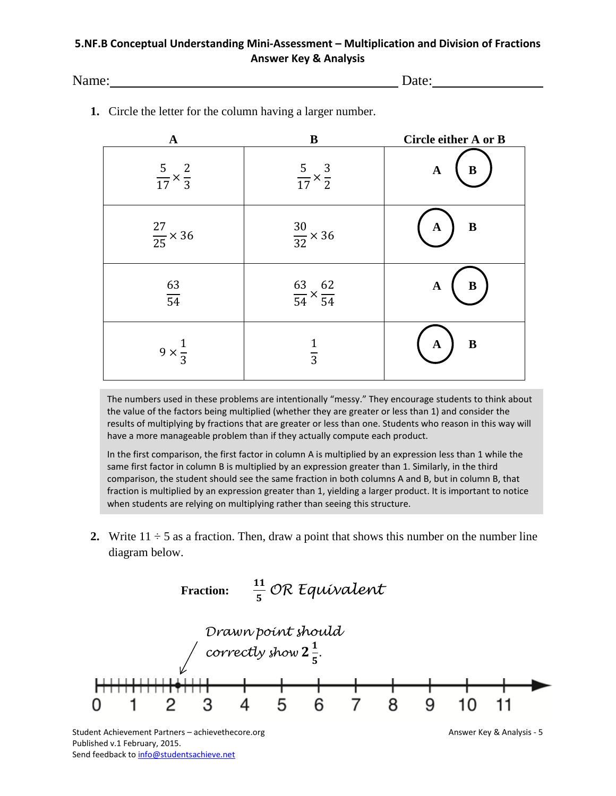# **5.NF.B Conceptual Understanding Mini-Assessment – Multiplication and Division of Fractions Answer Key & Analysis**

Name: Date:

| $\mathbf{A}$                    | ${\bf B}$                            | Circle either A or B        |
|---------------------------------|--------------------------------------|-----------------------------|
| $rac{5}{17} \times \frac{2}{3}$ | $rac{5}{17} \times \frac{3}{2}$      | $\, {\bf B}$<br>$\mathbf A$ |
| $\frac{27}{25} \times 36$       | $\frac{30}{32} \times 36$            | $\bf{B}$<br>A               |
| $\frac{63}{54}$                 | $\frac{63}{54} \times \frac{62}{54}$ | $\bf{B}$<br>$\mathbf A$     |
| $9 \times \frac{1}{3}$          | $\overline{3}$                       | $\bf{B}$<br>A               |

**1.** Circle the letter for the column having a larger number.

The numbers used in these problems are intentionally "messy." They encourage students to think about the value of the factors being multiplied (whether they are greater or less than 1) and consider the results of multiplying by fractions that are greater or less than one. Students who reason in this way will have a more manageable problem than if they actually compute each product.

In the first comparison, the first factor in column A is multiplied by an expression less than 1 while the same first factor in column B is multiplied by an expression greater than 1. Similarly, in the third comparison, the student should see the same fraction in both columns A and B, but in column B, that fraction is multiplied by an expression greater than 1, yielding a larger product. It is important to notice when students are relying on multiplying rather than seeing this structure.

**2.** Write  $11 \div 5$  as a fraction. Then, draw a point that shows this number on the number line diagram below.



Student Achievement Partners – achievethecore.org Answer Key & Analysis - 5 Published v.1 February, 2015. Send feedback t[o info@studentsachieve.net](mailto:info@studentsachieve.net)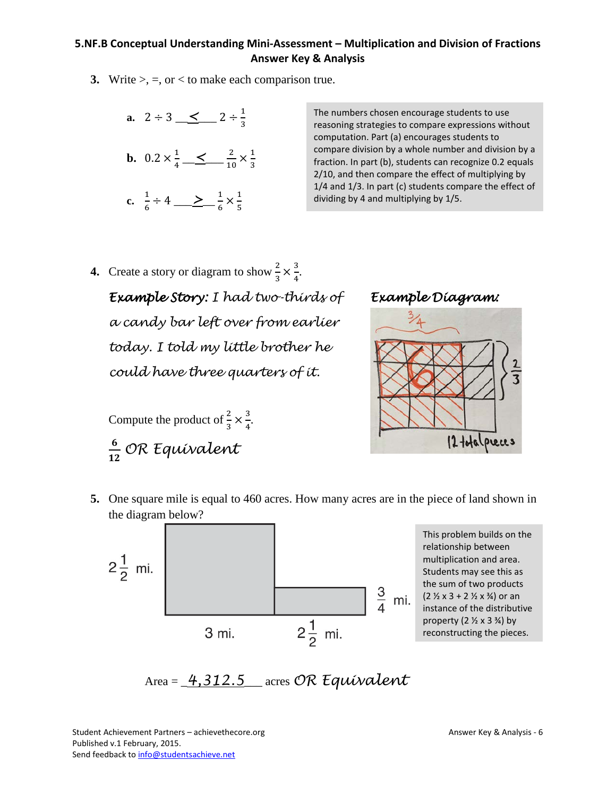# **5.NF.B Conceptual Understanding Mini-Assessment – Multiplication and Division of Fractions Answer Key & Analysis**

**3.** Write  $>$ ,  $=$ , or  $<$  to make each comparison true.



The numbers chosen encourage students to use reasoning strategies to compare expressions without computation. Part (a) encourages students to compare division by a whole number and division by a fraction. In part (b), students can recognize 0.2 equals 2/10, and then compare the effect of multiplying by 1/4 and 1/3. In part (c) students compare the effect of dividing by 4 and multiplying by 1/5.

**4.** Create a story or diagram to show  $\frac{2}{3} \times \frac{3}{4}$  $\frac{3}{4}$ . *Example Story: I had two-thirds of a candy bar left over from earlier today. I told my little brother he could have three quarters of it.* 

Compute the product of  $\frac{2}{3} \times \frac{3}{4}$  $\frac{3}{4}$ . *OR Equivalent*





**5.** One square mile is equal to 460 acres. How many acres are in the piece of land shown in the diagram below?



This problem builds on the relationship between multiplication and area. Students may see this as the sum of two products  $(2 \frac{1}{2} \times 3 + 2 \frac{1}{2} \times \frac{3}{4})$  or an instance of the distributive property  $(2 \frac{1}{2} \times 3 \frac{3}{4})$  by reconstructing the pieces.

$$
Area = \underline{4,312.5} \quad \text{ acres OR } \text{Equivalent}
$$